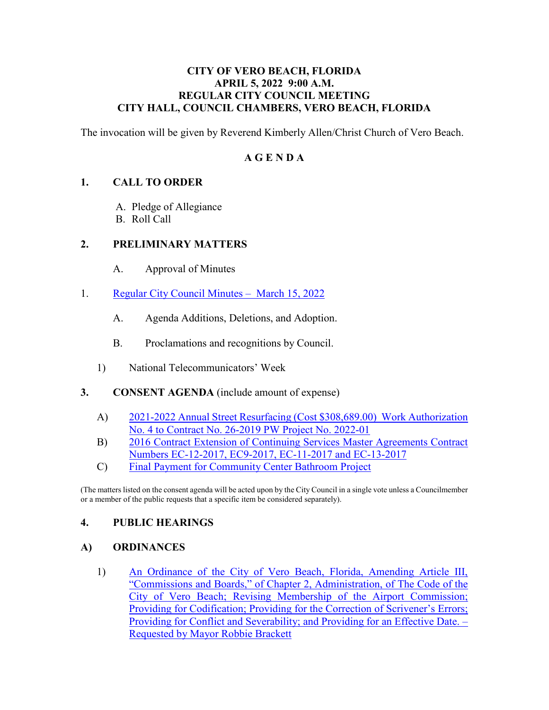#### **CITY OF VERO BEACH, FLORIDA APRIL 5, 2022 9:00 A.M. REGULAR CITY COUNCIL MEETING CITY HALL, COUNCIL CHAMBERS, VERO BEACH, FLORIDA**

The invocation will be given by Reverend Kimberly Allen/Christ Church of Vero Beach.

### **A G E N D A**

#### **1. CALL TO ORDER**

- A. Pledge of Allegiance
- B. Roll Call

#### **2. PRELIMINARY MATTERS**

- $A<sub>1</sub>$ Approval of Minutes
- 1. [Regular City Council Minutes March 15, 2022](https://www.covb.org/DocumentCenter/View/5842/2A-1) 
	- A. Agenda Additions, Deletions, and Adoption.
	- B. Proclamations and recognitions by Council.
	- 1) National Telecommunicators' Week
- **3. CONSENT AGENDA** (include amount of expense)
	- [A\) 2021-2022 Annual Street Resurfacing \(Cost \\$308,689.00\) Work Authorization](https://www.covb.org/DocumentCenter/View/5843/3-A)  [No. 4 to Contract No. 26-2019 PW Project No. 2022-01](https://www.covb.org/DocumentCenter/View/5843/3-A)
	- [B\) 2016 Contract Extension of Continuing Services Master Agreements Contract](https://www.covb.org/DocumentCenter/View/5844/3-B)  [Numbers EC-12-2017, EC9-2017, EC-11-2017 and EC-13-2017](https://www.covb.org/DocumentCenter/View/5844/3-B)
	- C) [Final Payment for Community Center Bathroom Project](https://www.covb.org/DocumentCenter/View/5845/3-C)

(The matters listed on the consent agenda will be acted upon by the City Council in a single vote unless a Councilmember or a member of the public requests that a specific item be considered separately).

#### **4. PUBLIC HEARINGS**

#### **A) ORDINANCES**

1) An Ordinance of the City of Vero Beach, Florida, Amending Article III, [Requested by Mayor Robbie Brackett](https://www.covb.org/DocumentCenter/View/5846/4A-1) ["Commissions and Boards," of Chapter 2, Administration, of The Code of the](https://www.covb.org/DocumentCenter/View/5846/4A-1)  [City of Vero Beach; Revising Membership of the Airport Commission;](https://www.covb.org/DocumentCenter/View/5846/4A-1)  [Providing for Codification; Providing for the Correction of Scrivener's Errors;](https://www.covb.org/DocumentCenter/View/5846/4A-1)  [Providing for Conflict and Severability; and Providing for an Effective Date. –](https://www.covb.org/DocumentCenter/View/5846/4A-1)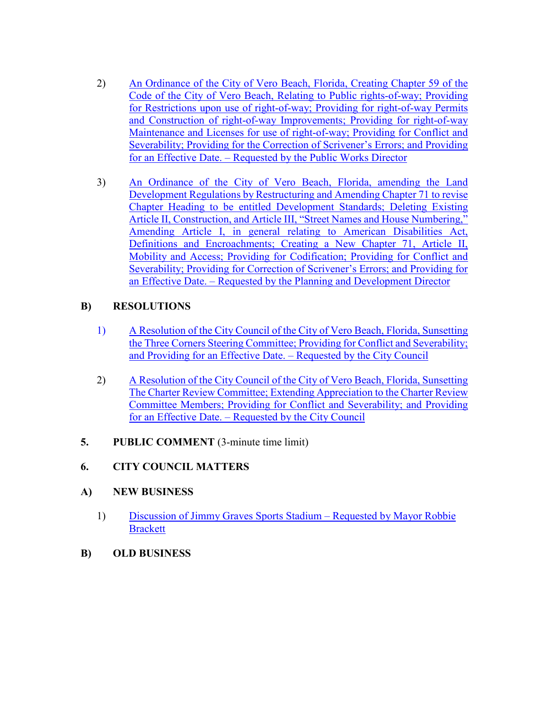- 2) An Ordinance of the City of Vero Beach, Florida, Creating Chapter 59 of the [Code of the City of Vero Beach, Relating to Public rights-of-way; Providing](https://www.covb.org/DocumentCenter/View/5847/4A-2)  [for Restrictions upon use of right-of-way; Providing for right-of-way Permits](https://www.covb.org/DocumentCenter/View/5847/4A-2)  [and Construction of right-of-way Improvements; Providing for right-of-way](https://www.covb.org/DocumentCenter/View/5847/4A-2)  [Maintenance and Licenses for use of right-of-way; Providing for Conflict and](https://www.covb.org/DocumentCenter/View/5847/4A-2)  [Severability; Providing for the Correction of Scrivener's Errors; and Providing](https://www.covb.org/DocumentCenter/View/5847/4A-2)  [for an Effective Date. – Requested by the Public Works Director](https://www.covb.org/DocumentCenter/View/5847/4A-2)
- [Article II, Construction, and Article III, "Street Names and House Numbering,"](https://www.covb.org/DocumentCenter/View/5848/4A-3)  Definitions and Encroachments; Creating a New Chapter 71, Article II, [3\) An Ordinance of the City of Vero Beach, Florida, amending the Land](https://www.covb.org/DocumentCenter/View/5848/4A-3)  [Development Regulations by Restructuring and Amending Chapter 71 to revise](https://www.covb.org/DocumentCenter/View/5848/4A-3)  [Chapter Heading to be entitled Development Standards; Deleting Existing](https://www.covb.org/DocumentCenter/View/5848/4A-3)  [Amending Article I, in general relating to American Disabilities Act,](https://www.covb.org/DocumentCenter/View/5848/4A-3)  [Mobility and Access; Providing for Codification; Providing for Conflict and](https://www.covb.org/DocumentCenter/View/5848/4A-3)  [Severability; Providing for Correction of Scrivener's Errors; and Providing for](https://www.covb.org/DocumentCenter/View/5848/4A-3)  [an Effective Date. – Requested by the Planning and Development Director](https://www.covb.org/DocumentCenter/View/5848/4A-3)

## **B) RESOLUTIONS**

- [1\) A Resolution of the City Council of the City of Vero Beach, Florida, Sunsetting](https://www.covb.org/DocumentCenter/View/5857/4B-1)  [the Three Corners Steering Committee; Providing for Conflict and Severability;](https://www.covb.org/DocumentCenter/View/5857/4B-1)  [and Providing for an Effective Date. – Requested by the City Council](https://www.covb.org/DocumentCenter/View/5857/4B-1)
- [2\) A Resolution of the City Council of the City of Vero Beach, Florida, Sunsetting](https://www.covb.org/DocumentCenter/View/5849/4B-2)  [The Charter Review Committee; Extending Appreciation to the Charter Review](https://www.covb.org/DocumentCenter/View/5849/4B-2)  [Committee Members; Providing for Conflict and Severability; and Providing](https://www.covb.org/DocumentCenter/View/5849/4B-2)  [for an Effective Date. – Requested by the City Council](https://www.covb.org/DocumentCenter/View/5849/4B-2)
- **5. PUBLIC COMMENT** (3-minute time limit)

# **6. CITY COUNCIL MATTERS**

## **A) NEW BUSINESS**

- [1\) Discussion of Jimmy Graves Sports Stadium Requested by Mayor Robbie](https://www.covb.org/DocumentCenter/View/5850/6A-1)  **Brackett**
- **B) OLD BUSINESS**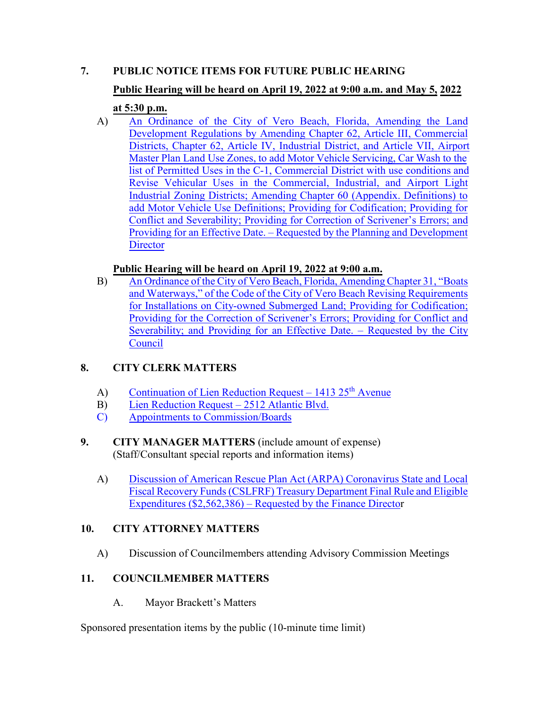# **7. PUBLIC NOTICE ITEMS FOR FUTURE PUBLIC HEARING**

# **Public Hearing will be heard on April 19, 2022 at 9:00 a.m. and May 5, 2022**

# **at 5:30 p.m.**

 [Development Regulations by Amending Chapter 62, Article III, Commercial](https://www.covb.org/DocumentCenter/View/5851/7-A) [Districts, Chapter 62, Article IV, Industrial District, and Article VII, Airport](https://www.covb.org/DocumentCenter/View/5851/7-A) list of Permitted Uses [in the C-1, Commercial District with use conditions and](https://www.covb.org/DocumentCenter/View/5851/7-A) [Revise Vehicular Uses in the Commercial, Industrial, and Airport Light](https://www.covb.org/DocumentCenter/View/5851/7-A) A) [An Ordinance of the City of Vero Beach, Florida, Amending the Land](https://www.covb.org/DocumentCenter/View/5851/7-A) [Master Plan Land Use Zones, to add Motor Vehicle Servicing, Car Wash to the](https://www.covb.org/DocumentCenter/View/5851/7-A) [Industrial Zoning Districts; Amending Chapter 60 \(Appendix. Definitions\) to](https://www.covb.org/DocumentCenter/View/5851/7-A) [add Motor Vehicle Use Definitions; Providing for Codification; Providing for](https://www.covb.org/DocumentCenter/View/5851/7-A) [Conflict and Severability; Providing for Correction of Scrivener's Errors; and](https://www.covb.org/DocumentCenter/View/5851/7-A) [Providing for an Effective Date. – Requested by the Planning and Development](https://www.covb.org/DocumentCenter/View/5851/7-A) **[Director](https://www.covb.org/DocumentCenter/View/5851/7-A)** 

# **Public Hearing will be heard on April 19, 2022 at 9:00 a.m.**

B) [An Ordinance of the City of Vero Beach, Florida, Amending Chapter 31, "Boats](https://www.covb.org/DocumentCenter/View/5852/7-B) [and Waterways," of the Code of the City of Vero Beach Revising Requirements](https://www.covb.org/DocumentCenter/View/5852/7-B) [for Installations on City-owned Submerged Land; Providing for Codification;](https://www.covb.org/DocumentCenter/View/5852/7-B) [Providing for the Correction of Scrivener's Errors; Providing for Conflict and](https://www.covb.org/DocumentCenter/View/5852/7-B) [Severability; and Providing for an Effective Date. – Requested by the City](https://www.covb.org/DocumentCenter/View/5852/7-B) [Council](https://www.covb.org/DocumentCenter/View/5852/7-B)

# **8. CITY CLERK MATTERS**

- A) Continuation of Lien Reduction Request 1413  $25<sup>th</sup>$  Avenue
- B) [Lien Reduction Request 2512 Atlantic Blvd.](https://www.covb.org/DocumentCenter/View/5854/8-B)
- C) [Appointments to Commission/Boards](https://www.covb.org/DocumentCenter/View/5855/8-C)

## (Staff/Consultant special reports and information items) **9. CITY MANAGER MATTERS** (include amount of expense)

A) [Discussion of American Rescue Plan Act \(ARPA\) Coronavirus State and Local](https://www.covb.org/DocumentCenter/View/5856/9-A) [Fiscal Recovery Funds \(CSLFRF\) Treasury Department Final Rule and Eligible](https://www.covb.org/DocumentCenter/View/5856/9-A) [Expenditures \(\\$2,562,386\) – Requested by the Finance Director](https://www.covb.org/DocumentCenter/View/5856/9-A)

# **10. CITY ATTORNEY MATTERS**

A) Discussion of Councilmembers attending Advisory Commission Meetings

# **11. COUNCILMEMBER MATTERS**

A. Mayor Brackett's Matters

Sponsored presentation items by the public (10-minute time limit)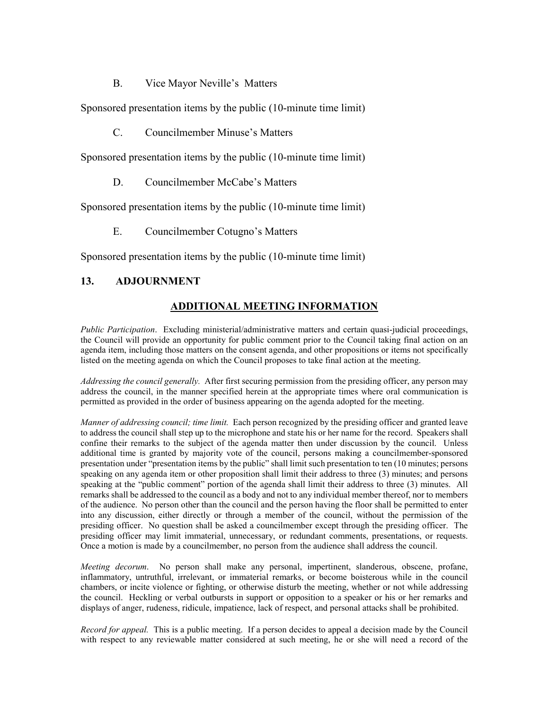B. Vice Mayor Neville's Matters

Sponsored presentation items by the public (10-minute time limit)

C. Councilmember Minuse's Matters

Sponsored presentation items by the public (10-minute time limit)

D. Councilmember McCabe's Matters

Sponsored presentation items by the public (10-minute time limit)

E. Councilmember Cotugno's Matters

Sponsored presentation items by the public (10-minute time limit)

#### **13. ADJOURNMENT**

#### **ADDITIONAL MEETING INFORMATION**

 agenda item, including those matters on the consent agenda, and other propositions or items not specifically *Public Participation*. Excluding ministerial/administrative matters and certain quasi-judicial proceedings, the Council will provide an opportunity for public comment prior to the Council taking final action on an listed on the meeting agenda on which the Council proposes to take final action at the meeting.

 *Addressing the council generally.* After first securing permission from the presiding officer, any person may address the council, in the manner specified herein at the appropriate times where oral communication is permitted as provided in the order of business appearing on the agenda adopted for the meeting.

 *Manner of addressing council; time limit.* Each person recognized by the presiding officer and granted leave to address the council shall step up to the microphone and state his or her name for the record. Speakers shall confine their remarks to the subject of the agenda matter then under discussion by the council. Unless additional time is granted by majority vote of the council, persons making a councilmember-sponsored speaking at the "public comment" portion of the agenda shall limit their address to three (3) minutes. All presiding officer may limit immaterial, unnecessary, or redundant comments, presentations, or requests. Once a motion is made by a councilmember, no person from the audience shall address the council. presentation under "presentation items by the public" shall limit such presentation to ten (10 minutes; persons speaking on any agenda item or other proposition shall limit their address to three (3) minutes; and persons remarks shall be addressed to the council as a body and not to any individual member thereof, nor to members of the audience. No person other than the council and the person having the floor shall be permitted to enter into any discussion, either directly or through a member of the council, without the permission of the presiding officer. No question shall be asked a councilmember except through the presiding officer. The

 *Meeting decorum*. No person shall make any personal, impertinent, slanderous, obscene, profane, inflammatory, untruthful, irrelevant, or immaterial remarks, or become boisterous while in the council chambers, or incite violence or fighting, or otherwise disturb the meeting, whether or not while addressing the council. Heckling or verbal outbursts in support or opposition to a speaker or his or her remarks and displays of anger, rudeness, ridicule, impatience, lack of respect, and personal attacks shall be prohibited.

 *Record for appeal.* This is a public meeting. If a person decides to appeal a decision made by the Council with respect to any reviewable matter considered at such meeting, he or she will need a record of the